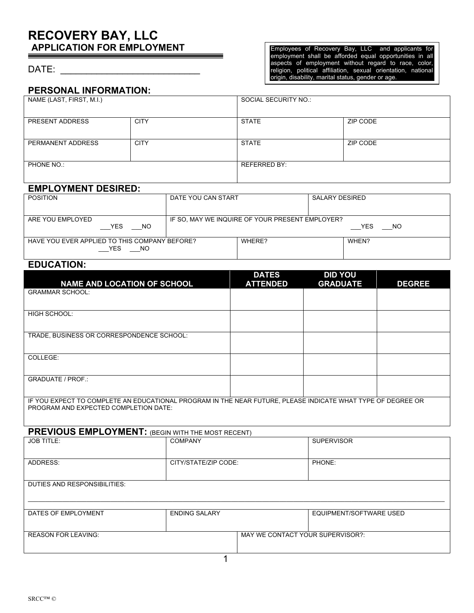# **RECOVERY BAY, LLC APPLICATION FOR EMPLOYMENT**

#### DATE:

Employees of Recovery Bay, LLC and applicants for employment shall be afforded equal opportunities in all aspects of employment without regard to race, color, religion, political affiliation, sexual orientation, national origin, disability, marital status, gender or age.

### **PERSONAL INFORMATION:**

| NAME (LAST, FIRST, M.I.) |             | SOCIAL SECURITY NO.: |          |
|--------------------------|-------------|----------------------|----------|
| PRESENT ADDRESS          | <b>CITY</b> | <b>STATE</b>         | ZIP CODE |
| PERMANENT ADDRESS        | <b>CITY</b> | <b>STATE</b>         | ZIP CODE |
| PHONE NO.:               |             | <b>REFERRED BY:</b>  |          |

## **EMPLOYMENT DESIRED:**

| __ . _ _ _  . _ .                             |                                                 |        |                |  |
|-----------------------------------------------|-------------------------------------------------|--------|----------------|--|
| <b>POSITION</b>                               | DATE YOU CAN START                              |        | SALARY DESIRED |  |
|                                               |                                                 |        |                |  |
| ARE YOU EMPLOYED                              | IF SO, MAY WE INQUIRE OF YOUR PRESENT EMPLOYER? |        |                |  |
| <b>YES</b><br>NO                              |                                                 |        | YES.<br>NO.    |  |
| HAVE YOU EVER APPLIED TO THIS COMPANY BEFORE? |                                                 | WHERE? | WHEN?          |  |
| YES<br>NO.                                    |                                                 |        |                |  |

# **EDUCATION:**

| <b>NAME AND LOCATION OF SCHOOL</b>                                                                                                                   | <b>DATES</b><br><b>ATTENDED</b> | <b>DID YOU</b><br><b>GRADUATE</b> | <b>DEGREE</b> |
|------------------------------------------------------------------------------------------------------------------------------------------------------|---------------------------------|-----------------------------------|---------------|
| <b>GRAMMAR SCHOOL:</b>                                                                                                                               |                                 |                                   |               |
| <b>HIGH SCHOOL:</b>                                                                                                                                  |                                 |                                   |               |
| TRADE, BUSINESS OR CORRESPONDENCE SCHOOL:                                                                                                            |                                 |                                   |               |
| COLLEGE:                                                                                                                                             |                                 |                                   |               |
| <b>GRADUATE / PROF.:</b>                                                                                                                             |                                 |                                   |               |
| IF YOU EXPECT TO COMPLETE AN EDUCATIONAL PROGRAM IN THE NEAR FUTURE, PLEASE INDICATE WHAT TYPE OF DEGREE OR<br>PROGRAM AND EXPECTED COMPLETION DATE: |                                 |                                   |               |

| <b>PREVIOUS EMPLOYMENT:</b> (BEGIN WITH THE MOST RECENT) |                      |                                  |                         |  |
|----------------------------------------------------------|----------------------|----------------------------------|-------------------------|--|
| <b>JOB TITLE:</b>                                        | <b>COMPANY</b>       |                                  | <b>SUPERVISOR</b>       |  |
| ADDRESS:                                                 | CITY/STATE/ZIP CODE: |                                  | PHONE:                  |  |
| DUTIES AND RESPONSIBILITIES:                             |                      |                                  |                         |  |
| DATES OF EMPLOYMENT                                      | <b>ENDING SALARY</b> |                                  | EQUIPMENT/SOFTWARE USED |  |
| <b>REASON FOR LEAVING:</b>                               |                      | MAY WE CONTACT YOUR SUPERVISOR?: |                         |  |